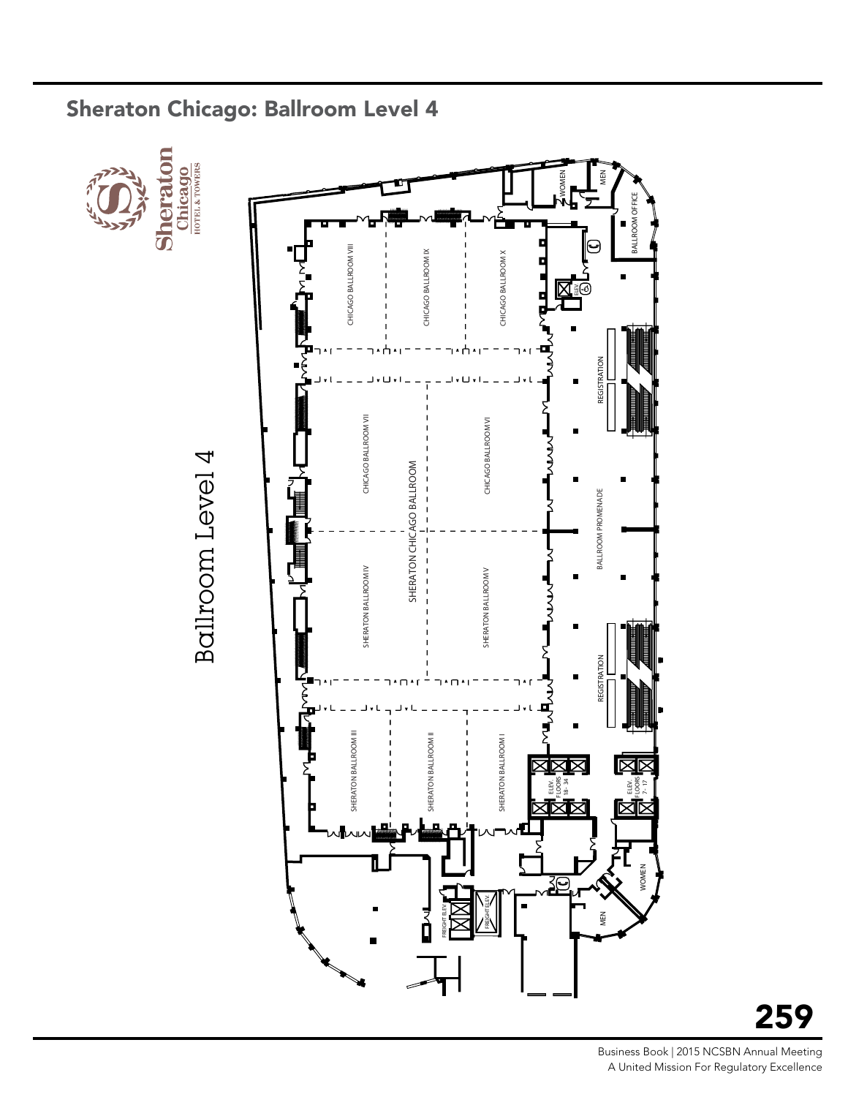

#### Sheraton Chicago: Ballroom Level 4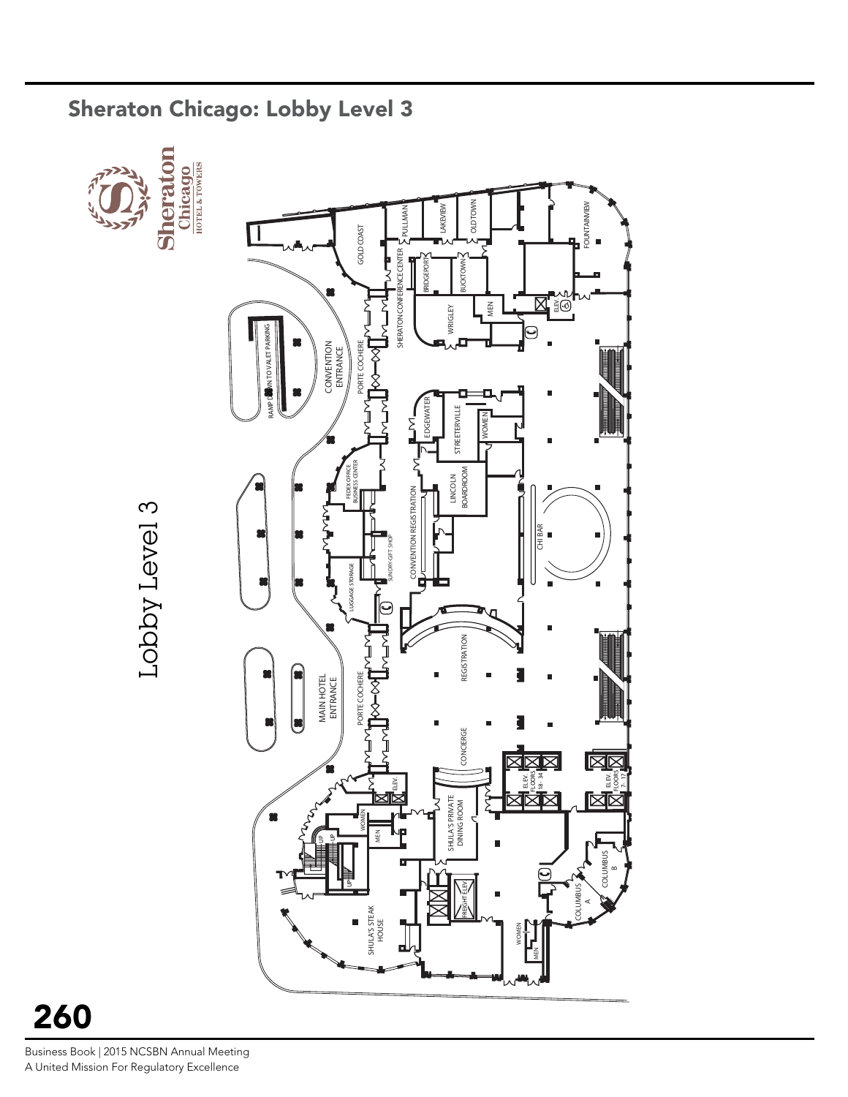

#### Sheraton Chicago: Lobby Level 3

260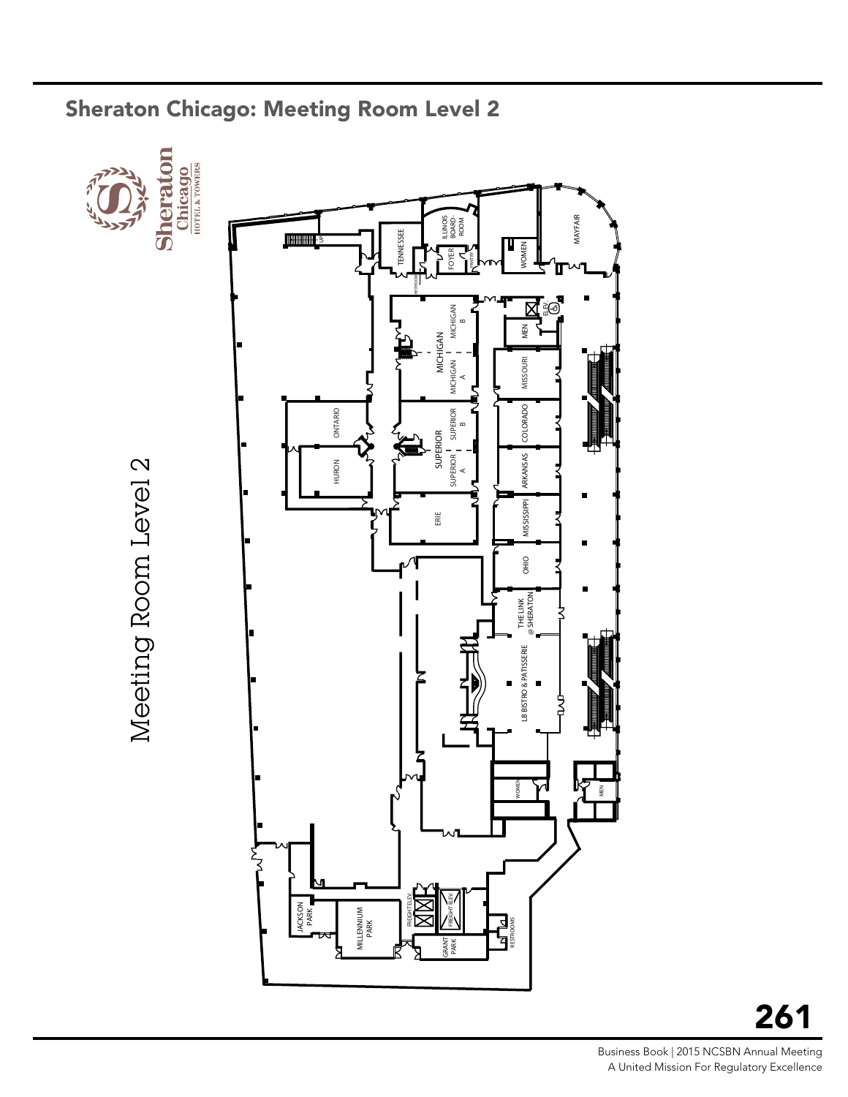

#### Sheraton Chicago: Meeting Room Level 2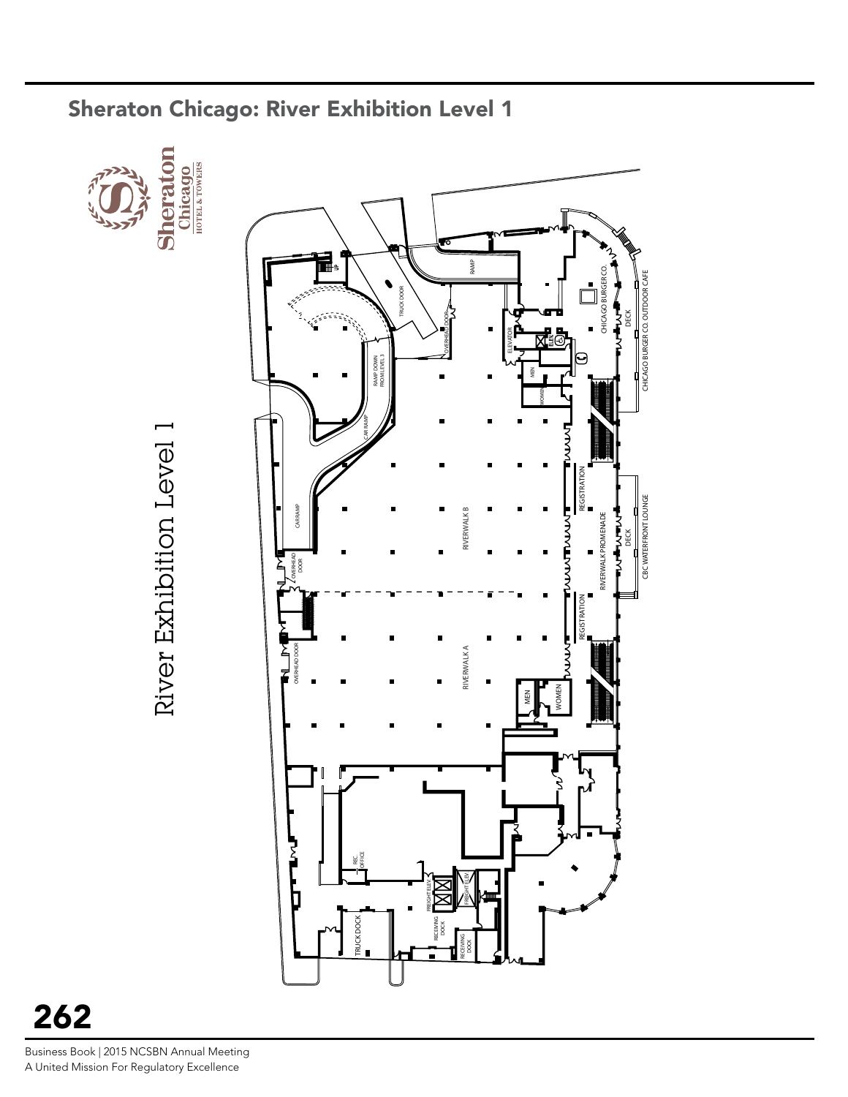

#### Sheraton Chicago: River Exhibition Level 1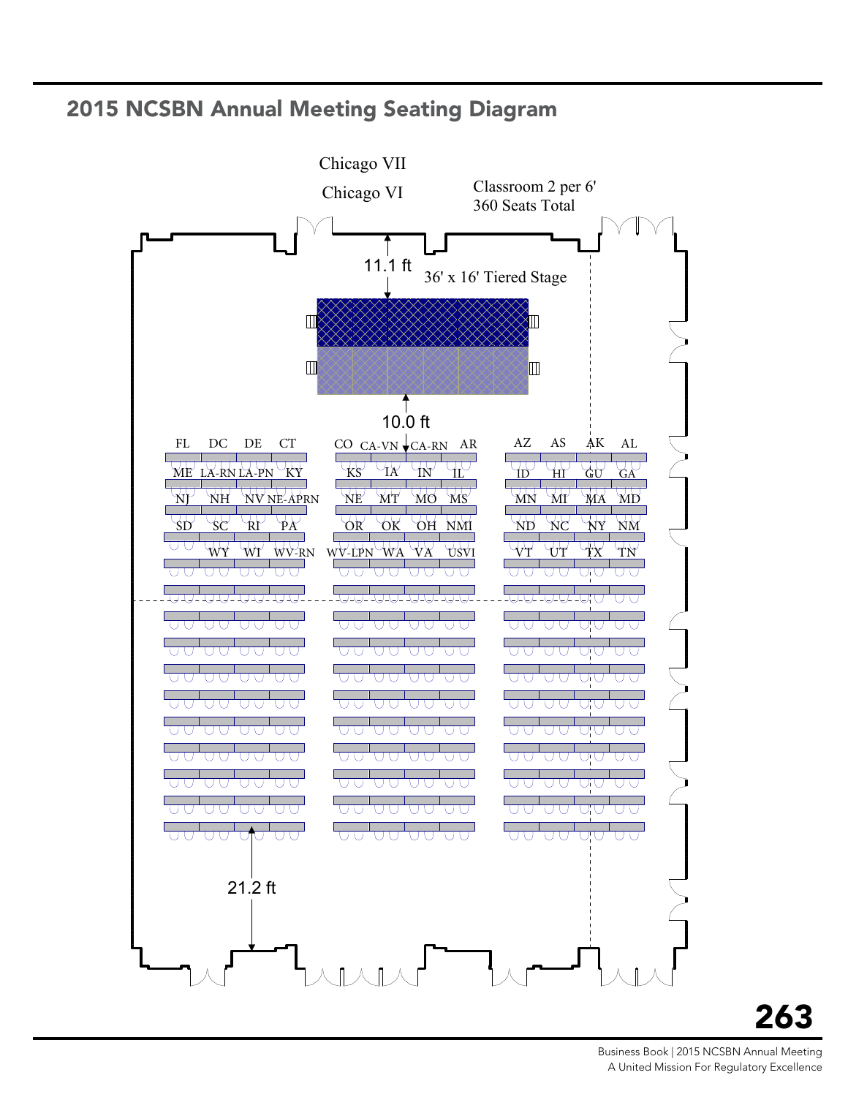#### 2015 NCSBN Annual Meeting Seating Diagram



### 263